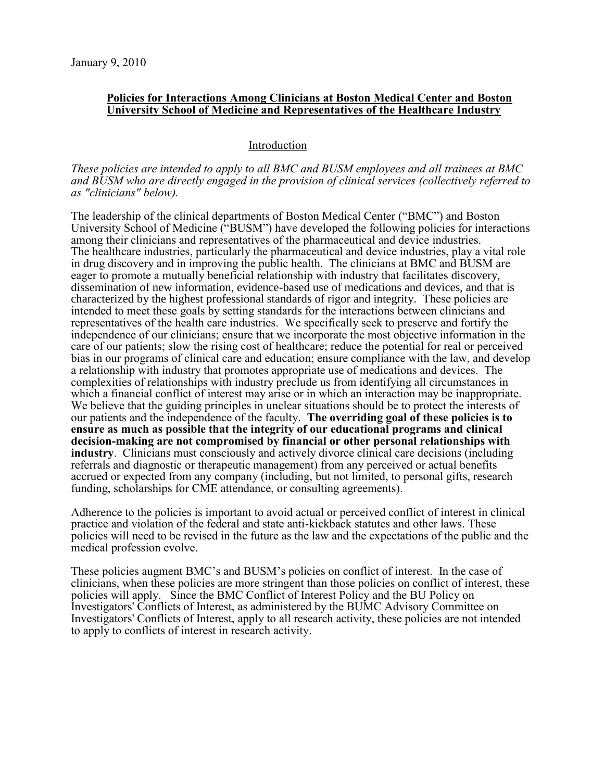### **Policies for Interactions Among Clinicians at Boston Medical Center and Boston University School of Medicine and Representatives of the Healthcare Industry**

### Introduction

### *These policies are intended to apply to all BMC and BUSM employees and all trainees at BMC and BUSM who are directly engaged in the provision of clinical services (collectively referred to as "clinicians" below).*

The leadership of the clinical departments of Boston Medical Center ("BMC") and Boston University School of Medicine ("BUSM") have developed the following policies for interactions among their clinicians and representatives of the pharmaceutical and device industries. The healthcare industries, particularly the pharmaceutical and device industries, play a vital role in drug discovery and in improving the public health. The clinicians at BMC and BUSM are eager to promote a mutually beneficial relationship with industry that facilitates discovery, dissemination of new information, evidence-based use of medications and devices, and that is characterized by the highest professional standards of rigor and integrity. These policies are intended to meet these goals by setting standards for the interactions between clinicians and representatives of the health care industries. We specifically seek to preserve and fortify the independence of our clinicians; ensure that we incorporate the most objective information in the care of our patients; slow the rising cost of healthcare; reduce the potential for real or perceived bias in our programs of clinical care and education; ensure compliance with the law, and develop a relationship with industry that promotes appropriate use of medications and devices. The complexities of relationships with industry preclude us from identifying all circumstances in which a financial conflict of interest may arise or in which an interaction may be inappropriate. We believe that the guiding principles in unclear situations should be to protect the interests of our patients and the independence of the faculty. **The overriding goal of these policies is to ensure as much as possible that the integrity of our educational programs and clinical decision-making are not compromised by financial or other personal relationships with industry**. Clinicians must consciously and actively divorce clinical care decisions (including referrals and diagnostic or therapeutic management) from any perceived or actual benefits accrued or expected from any company (including, but not limited, to personal gifts, research funding, scholarships for CME attendance, or consulting agreements).

Adherence to the policies is important to avoid actual or perceived conflict of interest in clinical practice and violation of the federal and state anti-kickback statutes and other laws. These policies will need to be revised in the future as the law and the expectations of the public and the medical profession evolve.

These policies augment BMC's and BUSM's policies on conflict of interest. In the case of clinicians, when these policies are more stringent than those policies on conflict of interest, these policies will apply. Since the BMC Conflict of Interest Policy and the BU Policy on Investigators' Conflicts of Interest, as administered by the BUMC Advisory Committee on Investigators' Conflicts of Interest, apply to all research activity, these policies are not intended to apply to conflicts of interest in research activity.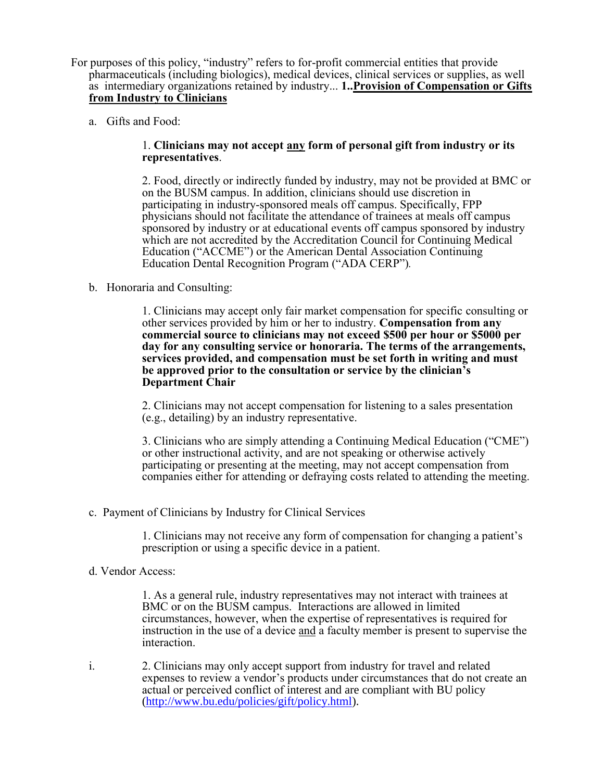- For purposes of this policy, "industry" refers to for-profit commercial entities that provide pharmaceuticals (including biologics), medical devices, clinical services or supplies, as well as intermediary organizations retained by industry... **1..Provision of Compensation or Gifts from Industry to Clinicians**
	- a. Gifts and Food:

### 1. **Clinicians may not accept any form of personal gift from industry or its representatives**.

2. Food, directly or indirectly funded by industry, may not be provided at BMC or on the BUSM campus. In addition, clinicians should use discretion in participating in industry-sponsored meals off campus. Specifically, FPP physicians should not facilitate the attendance of trainees at meals off campus sponsored by industry or at educational events off campus sponsored by industry which are not accredited by the Accreditation Council for Continuing Medical Education ("ACCME") or the American Dental Association Continuing Education Dental Recognition Program ("ADA CERP")*.*

b. Honoraria and Consulting:

1. Clinicians may accept only fair market compensation for specific consulting or other services provided by him or her to industry. **Compensation from any commercial source to clinicians may not exceed \$500 per hour or \$5000 per day for any consulting service or honoraria. The terms of the arrangements, services provided, and compensation must be set forth in writing and must be approved prior to the consultation or service by the clinician's Department Chair**

2. Clinicians may not accept compensation for listening to a sales presentation (e.g., detailing) by an industry representative.

3. Clinicians who are simply attending a Continuing Medical Education ("CME") or other instructional activity, and are not speaking or otherwise actively participating or presenting at the meeting, may not accept compensation from companies either for attending or defraying costs related to attending the meeting.

c. Payment of Clinicians by Industry for Clinical Services

1. Clinicians may not receive any form of compensation for changing a patient's prescription or using a specific device in a patient.

d. Vendor Access:

1. As a general rule, industry representatives may not interact with trainees at BMC or on the BUSM campus. Interactions are allowed in limited circumstances, however, when the expertise of representatives is required for instruction in the use of a device and a faculty member is present to supervise the interaction.

i. 2. Clinicians may only accept support from industry for travel and related expenses to review a vendor's products under circumstances that do not create an actual or perceived conflict of interest and are compliant with BU policy [\(http://www.bu.edu/policies/gift/policy.html\)](http://www.bu.edu/policies/gift/policy.html).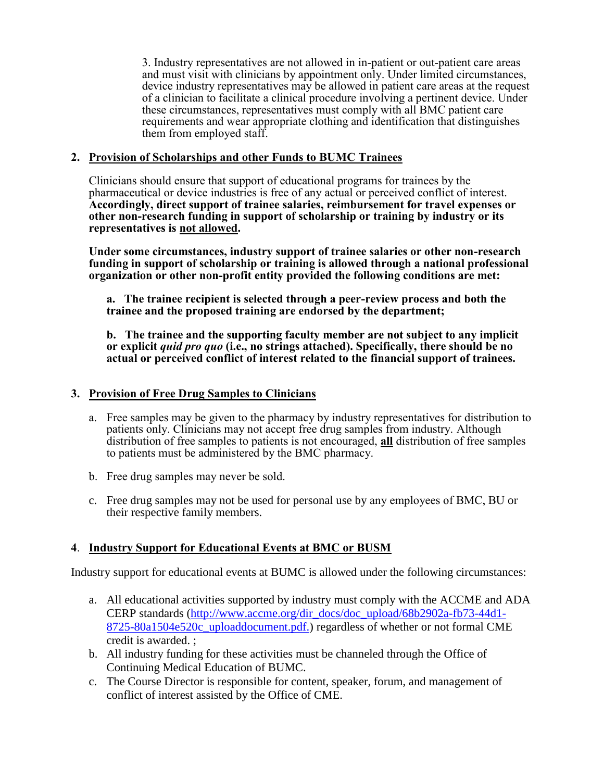3. Industry representatives are not allowed in in-patient or out-patient care areas and must visit with clinicians by appointment only. Under limited circumstances, device industry representatives may be allowed in patient care areas at the request of a clinician to facilitate a clinical procedure involving a pertinent device. Under these circumstances, representatives must comply with all BMC patient care requirements and wear appropriate clothing and identification that distinguishes them from employed staff.

## **2. Provision of Scholarships and other Funds to BUMC Trainees**

Clinicians should ensure that support of educational programs for trainees by the pharmaceutical or device industries is free of any actual or perceived conflict of interest. **Accordingly, direct support of trainee salaries, reimbursement for travel expenses or other non-research funding in support of scholarship or training by industry or its representatives is not allowed.** 

**Under some circumstances, industry support of trainee salaries or other non-research funding in support of scholarship or training is allowed through a national professional organization or other non-profit entity provided the following conditions are met:**

**a. The trainee recipient is selected through a peer-review process and both the trainee and the proposed training are endorsed by the department;**

**b. The trainee and the supporting faculty member are not subject to any implicit or explicit** *quid pro quo* **(i.e., no strings attached). Specifically, there should be no actual or perceived conflict of interest related to the financial support of trainees.**

# **3. Provision of Free Drug Samples to Clinicians**

- a. Free samples may be given to the pharmacy by industry representatives for distribution to patients only. Clinicians may not accept free drug samples from industry. Although distribution of free samples to patients is not encouraged, **all** distribution of free samples to patients must be administered by the BMC pharmacy.
- b. Free drug samples may never be sold.
- c. Free drug samples may not be used for personal use by any employees of BMC, BU or their respective family members.

# **4**. **Industry Support for Educational Events at BMC or BUSM**

Industry support for educational events at BUMC is allowed under the following circumstances:

- a. All educational activities supported by industry must comply with the ACCME and ADA CERP standards [\(http://www.accme.org/dir\\_docs/doc\\_upload/68b2902a-fb73-44d1-](http://accme.org/incoming/174_Standards%20for%20Commercial%20Support_April%202004.pdf) [8725-80a1504e520c\\_uploaddocument.pdf.](http://accme.org/incoming/174_Standards%20for%20Commercial%20Support_April%202004.pdf)) regardless of whether or not formal CME credit is awarded. ;
- b. All industry funding for these activities must be channeled through the Office of Continuing Medical Education of BUMC.
- c. The Course Director is responsible for content, speaker, forum, and management of conflict of interest assisted by the Office of CME.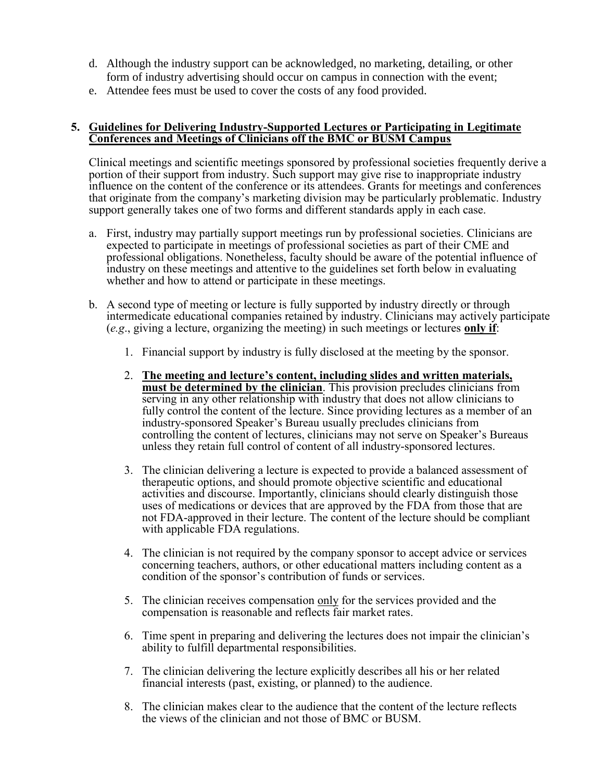- d. Although the industry support can be acknowledged, no marketing, detailing, or other form of industry advertising should occur on campus in connection with the event;
- e. Attendee fees must be used to cover the costs of any food provided.

### **5. Guidelines for Delivering Industry-Supported Lectures or Participating in Legitimate Conferences and Meetings of Clinicians off the BMC or BUSM Campus**

Clinical meetings and scientific meetings sponsored by professional societies frequently derive a portion of their support from industry. Such support may give rise to inappropriate industry influence on the content of the conference or its attendees. Grants for meetings and conferences that originate from the company's marketing division may be particularly problematic. Industry support generally takes one of two forms and different standards apply in each case.

- a. First, industry may partially support meetings run by professional societies. Clinicians are expected to participate in meetings of professional societies as part of their CME and professional obligations. Nonetheless, faculty should be aware of the potential influence of industry on these meetings and attentive to the guidelines set forth below in evaluating whether and how to attend or participate in these meetings.
- b. A second type of meeting or lecture is fully supported by industry directly or through intermedicate educational companies retained by industry. Clinicians may actively participate (*e.g*., giving a lecture, organizing the meeting) in such meetings or lectures **only if**:
	- 1. Financial support by industry is fully disclosed at the meeting by the sponsor.
	- 2. **The meeting and lecture's content, including slides and written materials, must be determined by the clinician**. This provision precludes clinicians from serving in any other relationship with industry that does not allow clinicians to fully control the content of the lecture. Since providing lectures as a member of an industry-sponsored Speaker's Bureau usually precludes clinicians from controlling the content of lectures, clinicians may not serve on Speaker's Bureaus unless they retain full control of content of all industry-sponsored lectures.
	- 3. The clinician delivering a lecture is expected to provide a balanced assessment of therapeutic options, and should promote objective scientific and educational activities and discourse. Importantly, clinicians should clearly distinguish those uses of medications or devices that are approved by the FDA from those that are not FDA-approved in their lecture. The content of the lecture should be compliant with applicable FDA regulations.
	- 4. The clinician is not required by the company sponsor to accept advice or services concerning teachers, authors, or other educational matters including content as a condition of the sponsor's contribution of funds or services.
	- 5. The clinician receives compensation only for the services provided and the compensation is reasonable and reflects fair market rates.
	- 6. Time spent in preparing and delivering the lectures does not impair the clinician's ability to fulfill departmental responsibilities.
	- 7. The clinician delivering the lecture explicitly describes all his or her related financial interests (past, existing, or planned) to the audience.
	- 8. The clinician makes clear to the audience that the content of the lecture reflects the views of the clinician and not those of BMC or BUSM.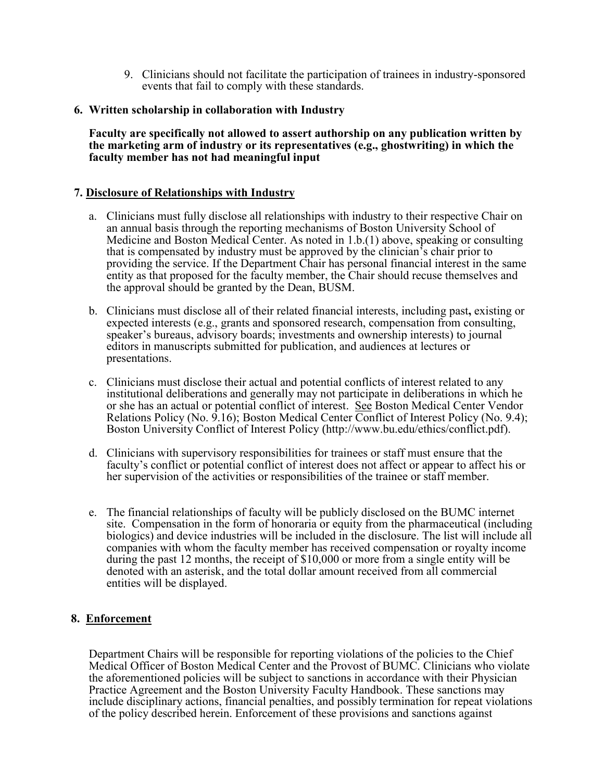9. Clinicians should not facilitate the participation of trainees in industry-sponsored events that fail to comply with these standards.

## **6. Written scholarship in collaboration with Industry**

**Faculty are specifically not allowed to assert authorship on any publication written by the marketing arm of industry or its representatives (e.g., ghostwriting) in which the faculty member has not had meaningful input**

## **7. Disclosure of Relationships with Industry**

- a. Clinicians must fully disclose all relationships with industry to their respective Chair on an annual basis through the reporting mechanisms of Boston University School of Medicine and Boston Medical Center. As noted in 1.b.(1) above, speaking or consulting that is compensated by industry must be approved by the clinician's chair prior to providing the service. If the Department Chair has personal financial interest in the same entity as that proposed for the faculty member, the Chair should recuse themselves and the approval should be granted by the Dean, BUSM.
- b. Clinicians must disclose all of their related financial interests, including past**,** existing or expected interests (e.g., grants and sponsored research, compensation from consulting, speaker's bureaus, advisory boards; investments and ownership interests) to journal editors in manuscripts submitted for publication, and audiences at lectures or presentations.
- c. Clinicians must disclose their actual and potential conflicts of interest related to any institutional deliberations and generally may not participate in deliberations in which he or she has an actual or potential conflict of interest. See Boston Medical Center Vendor Relations Policy (No. 9.16); Boston Medical Center Conflict of Interest Policy (No. 9.4); Boston University Conflict of Interest Policy (http://www.bu.edu/ethics/conflict.pdf).
- d. Clinicians with supervisory responsibilities for trainees or staff must ensure that the faculty's conflict or potential conflict of interest does not affect or appear to affect his or her supervision of the activities or responsibilities of the trainee or staff member.
- e. The financial relationships of faculty will be publicly disclosed on the BUMC internet site. Compensation in the form of honoraria or equity from the pharmaceutical (including biologics) and device industries will be included in the disclosure. The list will include all companies with whom the faculty member has received compensation or royalty income during the past 12 months, the receipt of \$10,000 or more from a single entity will be denoted with an asterisk, and the total dollar amount received from all commercial entities will be displayed.

## **8. Enforcement**

Department Chairs will be responsible for reporting violations of the policies to the Chief Medical Officer of Boston Medical Center and the Provost of BUMC. Clinicians who violate the aforementioned policies will be subject to sanctions in accordance with their Physician Practice Agreement and the Boston University Faculty Handbook. These sanctions may include disciplinary actions, financial penalties, and possibly termination for repeat violations of the policy described herein. Enforcement of these provisions and sanctions against